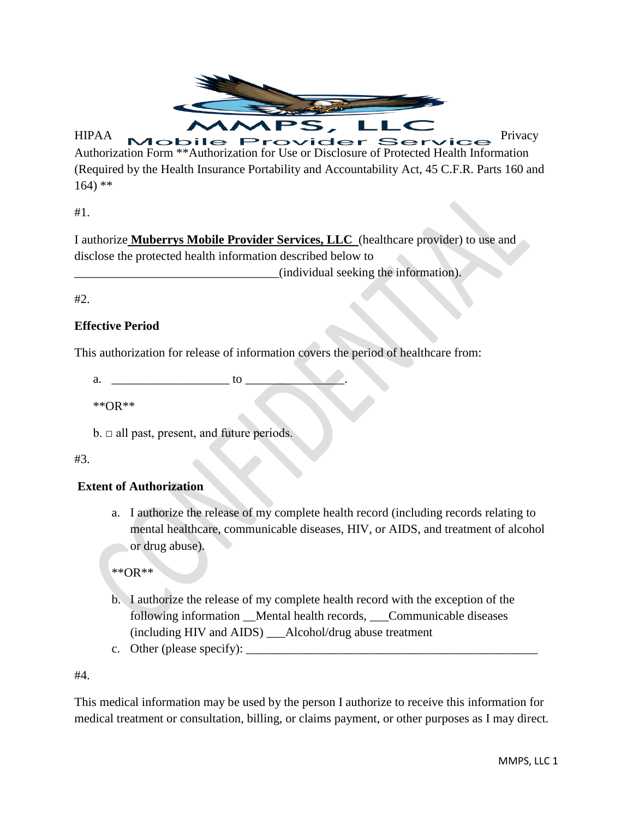

Authorization Form \*\*Authorization for Use or Disclosure of Protected Health Information (Required by the Health Insurance Portability and Accountability Act, 45 C.F.R. Parts 160 and 164) \*\*

#1.

I authorize **Muberrys Mobile Provider Services, LLC** (healthcare provider) to use and disclose the protected health information described below to \_\_\_\_\_\_\_\_\_\_\_\_\_\_\_\_\_\_\_\_\_\_\_\_\_\_\_\_\_\_\_\_\_(individual seeking the information).

#2.

## **Effective Period**

This authorization for release of information covers the period of healthcare from:

 $a.$  to  $\alpha$ 

\*\*OR\*\*

 $b.$   $\Box$  all past, present, and future periods.

## #3.

## **Extent of Authorization**

a. I authorize the release of my complete health record (including records relating to mental healthcare, communicable diseases, HIV, or AIDS, and treatment of alcohol or drug abuse).

\*\*OR\*\*

- b. I authorize the release of my complete health record with the exception of the following information Mental health records, Communicable diseases (including HIV and AIDS) \_\_\_Alcohol/drug abuse treatment
- c. Other (please specify):  $\Box$

#4.

This medical information may be used by the person I authorize to receive this information for medical treatment or consultation, billing, or claims payment, or other purposes as I may direct.